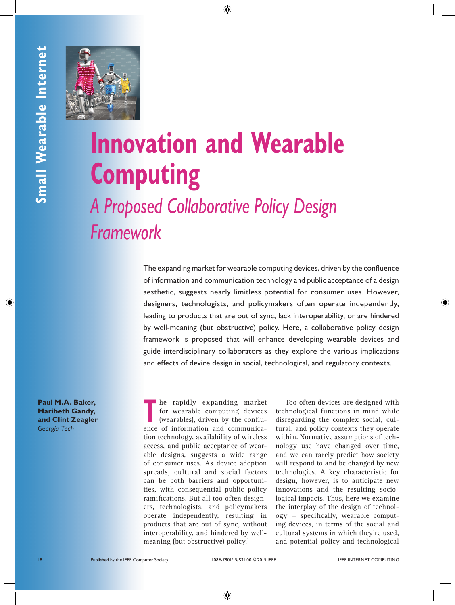

# **Innovation and Wearable Computing**  *A Proposed Collaborative Policy Design*

*Framework*

**INTERNET AND CONSULTER COMPUTING THE COMPUTER COMPUTER COMPUTER COMPUTER COMPUTER COMPUTER COMPUTER COMPUTER COMPUTER COMPUTER COMPUTER COMPUTER COMPUTER COMPUTER COMPUTER COMPUTER COMPUTER COMPUTER COMPUTER COMPUTER COMP** The expanding market for wearable computing devices, driven by the confluence of information and communication technology and public acceptance of a design aesthetic, suggests nearly limitless potential for consumer uses. However, designers, technologists, and policymakers often operate independently, leading to products that are out of sync, lack interoperability, or are hindered by well-meaning (but obstructive) policy. Here, a collaborative policy design framework is proposed that will enhance developing wearable devices and guide interdisciplinary collaborators as they explore the various implications and effects of device design in social, technological, and regulatory contexts.

**Paul M.A. Baker, Maribeth Gandy, and Clint Zeagler** *Georgia Tech*

**THE REPAIR PROPERTIES THE REPAIR OF THE PROPERTY OF THE CONFLUENCE CONFLUENCE AND A CONFLUENCE AND A SET OF THE CONFLUENCE CONFLUENCE CONFLUENCE CONFLUENCE CONFLUENCE CONFLUENCE CONFLUENCE CONFLUENCE CONFLUENCE CONFLUENCE** for wearable computing devices ence of information and communication technology, availability of wireless access, and public acceptance of wearable designs, suggests a wide range of consumer uses. As device adoption spreads, cultural and social factors can be both barriers and opportunities, with consequential public policy ramifications. But all too often designers, technologists, and policymakers operate independently, resulting in products that are out of sync, without interoperability, and hindered by wellmeaning (but obstructive) policy.<sup>1</sup>

Too often devices are designed with technological functions in mind while disregarding the complex social, cultural, and policy contexts they operate within. Normative assumptions of technology use have changed over time, and we can rarely predict how society will respond to and be changed by new technologies. A key characteristic for design, however, is to anticipate new innovations and the resulting sociological impacts. Thus, here we examine the interplay of the design of technology — specifically, wearable computing devices, in terms of the social and cultural systems in which they're used, and potential policy and technological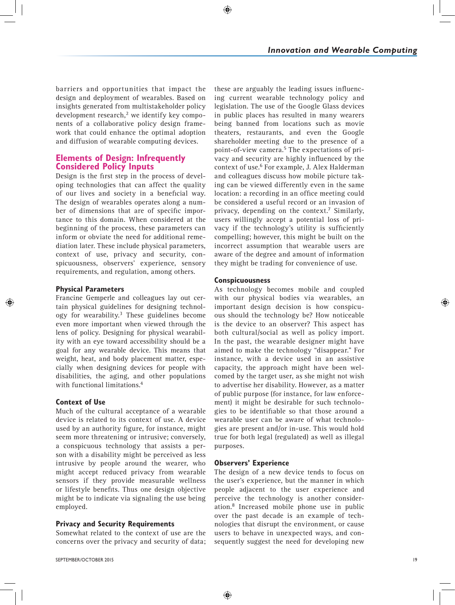barriers and opportunities that impact the design and deployment of wearables. Based on insights generated from multistakeholder policy development research,<sup>2</sup> we identify key components of a collaborative policy design framework that could enhance the optimal adoption and diffusion of wearable computing devices.

## **Elements of Design: Infrequently Considered Policy Inputs**

Design is the first step in the process of developing technologies that can affect the quality of our lives and society in a beneficial way. The design of wearables operates along a number of dimensions that are of specific importance to this domain. When considered at the beginning of the process, these parameters can inform or obviate the need for additional remediation later. These include physical parameters, context of use, privacy and security, conspicuousness, observers' experience, sensory requirements, and regulation, among others.

## **Physical Parameters**

Francine Gemperle and colleagues lay out certain physical guidelines for designing technology for wearability. $3$  These guidelines become even more important when viewed through the lens of policy. Designing for physical wearability with an eye toward accessibility should be a goal for any wearable device. This means that weight, heat, and body placement matter, especially when designing devices for people with disabilities, the aging, and other populations with functional limitations.<sup>4</sup>

## **Context of Use**

Much of the cultural acceptance of a wearable device is related to its context of use. A device used by an authority figure, for instance, might seem more threatening or intrusive; conversely, a conspicuous technology that assists a person with a disability might be perceived as less intrusive by people around the wearer, who might accept reduced privacy from wearable sensors if they provide measurable wellness or lifestyle benefits. Thus one design objective might be to indicate via signaling the use being employed.

## **Privacy and Security Requirements**

Somewhat related to the context of use are the concerns over the privacy and security of data; these are arguably the leading issues influencing current wearable technology policy and legislation. The use of the Google Glass devices in public places has resulted in many wearers being banned from locations such as movie theaters, restaurants, and even the Google shareholder meeting due to the presence of a point-of-view camera.<sup>5</sup> The expectations of privacy and security are highly influenced by the context of use.6 For example, J. Alex Halderman and colleagues discuss how mobile picture taking can be viewed differently even in the same location: a recording in an office meeting could be considered a useful record or an invasion of privacy, depending on the context.<sup>7</sup> Similarly, users willingly accept a potential loss of privacy if the technology's utility is sufficiently compelling; however, this might be built on the incorrect assumption that wearable users are aware of the degree and amount of information they might be trading for convenience of use.

## **Conspicuousness**

As technology becomes mobile and coupled with our physical bodies via wearables, an important design decision is how conspicuous should the technology be? How noticeable is the device to an observer? This aspect has both cultural/social as well as policy import. In the past, the wearable designer might have aimed to make the technology "disappear." For instance, with a device used in an assistive capacity, the approach might have been welcomed by the target user, as she might not wish to advertise her disability. However, as a matter of public purpose (for instance, for law enforcement) it might be desirable for such technologies to be identifiable so that those around a wearable user can be aware of what technologies are present and/or in-use. This would hold true for both legal (regulated) as well as illegal purposes.

#### **Observers' Experience**

The design of a new device tends to focus on the user's experience, but the manner in which people adjacent to the user experience and perceive the technology is another consideration.8 Increased mobile phone use in public over the past decade is an example of technologies that disrupt the environment, or cause users to behave in unexpected ways, and consequently suggest the need for developing new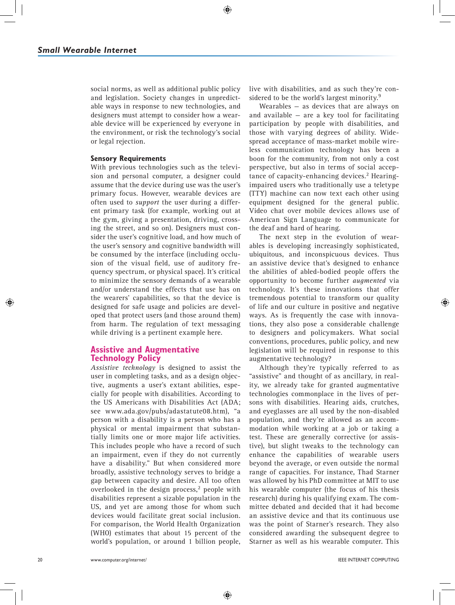social norms, as well as additional public policy and legislation. Society changes in unpredictable ways in response to new technologies, and designers must attempt to consider how a wearable device will be experienced by everyone in the environment, or risk the technology's social or legal rejection.

#### **Sensory Requirements**

With previous technologies such as the television and personal computer, a designer could assume that the device during use was the user's primary focus. However, wearable devices are often used to *support* the user during a different primary task (for example, working out at the gym, giving a presentation, driving, crossing the street, and so on). Designers must consider the user's cognitive load, and how much of the user's sensory and cognitive bandwidth will be consumed by the interface (including occlusion of the visual field, use of auditory frequency spectrum, or physical space). It's critical to minimize the sensory demands of a wearable and/or understand the effects that use has on the wearers' capabilities, so that the device is designed for safe usage and policies are developed that protect users (and those around them) from harm. The regulation of text messaging while driving is a pertinent example here.

## **Assistive and Augmentative Technology Policy**

*Assistive technology* is designed to assist the user in completing tasks, and as a design objective, augments a user's extant abilities, especially for people with disabilities. According to the US Americans with Disabilities Act (ADA; see www.ada.gov/pubs/adastatute08.htm), "a person with a disability is a person who has a physical or mental impairment that substantially limits one or more major life activities. This includes people who have a record of such an impairment, even if they do not currently have a disability." But when considered more broadly, assistive technology serves to bridge a gap between capacity and desire. All too often overlooked in the design process, $2$  people with disabilities represent a sizable population in the US, and yet are among those for whom such devices would facilitate great social inclusion. For comparison, the World Health Organization (WHO) estimates that about 15 percent of the world's population, or around 1 billion people, live with disabilities, and as such they're considered to be the world's largest minority.<sup>9</sup>

Wearables — as devices that are always on and available  $-$  are a key tool for facilitating participation by people with disabilities, and those with varying degrees of ability. Widespread acceptance of mass-market mobile wireless communication technology has been a boon for the community, from not only a cost perspective, but also in terms of social acceptance of capacity-enhancing devices.<sup>2</sup> Hearingimpaired users who traditionally use a teletype (TTY) machine can now text each other using equipment designed for the general public. Video chat over mobile devices allows use of American Sign Language to communicate for the deaf and hard of hearing.

The next step in the evolution of wearables is developing increasingly sophisticated, ubiquitous, and inconspicuous devices. Thus an assistive device that's designed to enhance the abilities of abled-bodied people offers the opportunity to become further *augmented* via technology. It's these innovations that offer tremendous potential to transform our quality of life and our culture in positive and negative ways. As is frequently the case with innovations, they also pose a considerable challenge to designers and policymakers. What social conventions, procedures, public policy, and new legislation will be required in response to this augmentative technology?

Although they're typically referred to as "assistive" and thought of as ancillary, in reality, we already take for granted augmentative technologies commonplace in the lives of persons with disabilities. Hearing aids, crutches, and eyeglasses are all used by the non-disabled population, and they're allowed as an accommodation while working at a job or taking a test. These are generally corrective (or assistive), but slight tweaks to the technology can enhance the capabilities of wearable users beyond the average, or even outside the normal range of capacities. For instance, Thad Starner was allowed by his PhD committee at MIT to use his wearable computer (the focus of his thesis research) during his qualifying exam. The committee debated and decided that it had become an assistive device and that its continuous use was the point of Starner's research. They also considered awarding the subsequent degree to Starner as well as his wearable computer. This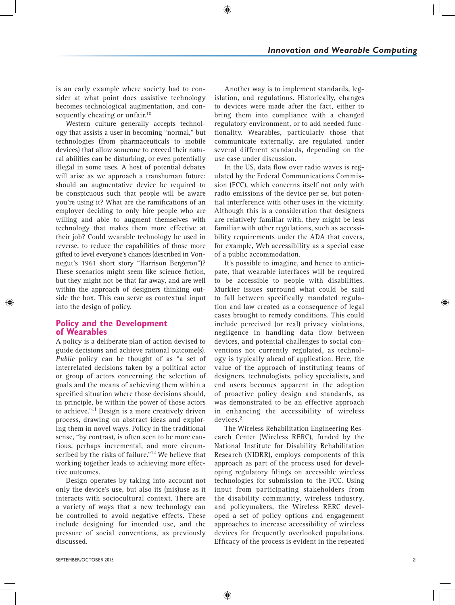is an early example where society had to consider at what point does assistive technology becomes technological augmentation, and consequently cheating or unfair.<sup>10</sup>

Western culture generally accepts technology that assists a user in becoming "normal," but technologies (from pharmaceuticals to mobile devices) that allow someone to exceed their natural abilities can be disturbing, or even potentially illegal in some uses. A host of potential debates will arise as we approach a transhuman future: should an augmentative device be required to be conspicuous such that people will be aware you're using it? What are the ramifications of an employer deciding to only hire people who are willing and able to augment themselves with technology that makes them more effective at their job? Could wearable technology be used in reverse, to reduce the capabilities of those more gifted to level everyone's chances (described in Vonnegut's 1961 short story "Harrison Bergeron")? These scenarios might seem like science fiction, but they might not be that far away, and are well within the approach of designers thinking outside the box. This can serve as contextual input into the design of policy.

# **Policy and the Development of Wearables**

A policy is a deliberate plan of action devised to guide decisions and achieve rational outcome(s). *Public* policy can be thought of as "a set of interrelated decisions taken by a political actor or group of actors concerning the selection of goals and the means of achieving them within a specified situation where those decisions should, in principle, be within the power of those actors to achieve."<sup>11</sup> Design is a more creatively driven process, drawing on abstract ideas and exploring them in novel ways. Policy in the traditional sense, "by contrast, is often seen to be more cautious, perhaps incremental, and more circumscribed by the risks of failure."<sup>12</sup> We believe that working together leads to achieving more effective outcomes.

Design operates by taking into account not only the device's use, but also its (mis)use as it interacts with sociocultural context. There are a variety of ways that a new technology can be controlled to avoid negative effects. These include designing for intended use, and the pressure of social conventions, as previously discussed.

Another way is to implement standards, legislation, and regulations. Historically, changes to devices were made after the fact, either to bring them into compliance with a changed regulatory environment, or to add needed functionality. Wearables, particularly those that communicate externally, are regulated under several different standards, depending on the use case under discussion.

In the US, data flow over radio waves is regulated by the Federal Communications Commission (FCC), which concerns itself not only with radio emissions of the device per se, but potential interference with other uses in the vicinity. Although this is a consideration that designers are relatively familiar with, they might be less familiar with other regulations, such as accessibility requirements under the ADA that covers, for example, Web accessibility as a special case of a public accommodation.

It's possible to imagine, and hence to anticipate, that wearable interfaces will be required to be accessible to people with disabilities. Murkier issues surround what could be said to fall between specifically mandated regulation and law created as a consequence of legal cases brought to remedy conditions. This could include perceived (or real) privacy violations, negligence in handling data flow between devices, and potential challenges to social conventions not currently regulated, as technology is typically ahead of application. Here, the value of the approach of instituting teams of designers, technologists, policy specialists, and end users becomes apparent in the adoption of proactive policy design and standards, as was demonstrated to be an effective approach in enhancing the accessibility of wireless devices.<sup>2</sup>

The Wireless Rehabilitation Engineering Res earch Center (Wireless RERC), funded by the National Institute for Disability Rehabilitation Research (NIDRR), employs components of this approach as part of the process used for developing regulatory filings on accessible wireless technologies for submission to the FCC. Using input from participating stakeholders from the disability community, wireless industry, and policymakers, the Wireless RERC developed a set of policy options and engagement approaches to increase accessibility of wireless devices for frequently overlooked populations. Efficacy of the process is evident in the repeated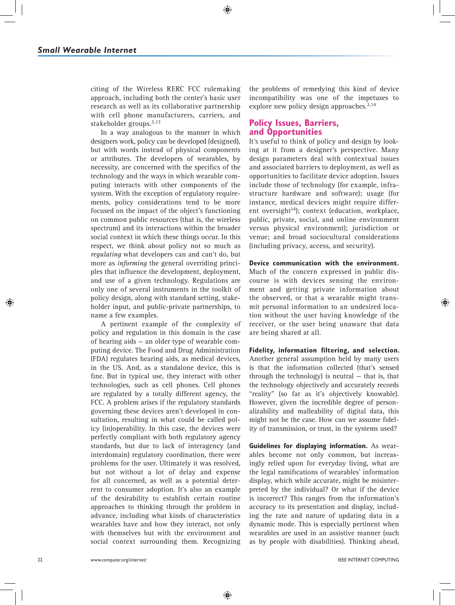citing of the Wireless RERC FCC rulemaking approach, including both the center's basic user research as well as its collaborative partnership with cell phone manufacturers, carriers, and stakeholder groups.<sup>2,13</sup>

In a way analogous to the manner in which designers work, policy can be developed (designed), but with words instead of physical components or attributes. The developers of wearables, by necessity, are concerned with the specifics of the technology and the ways in which wearable computing interacts with other components of the system. With the exception of regulatory requirements, policy considerations tend to be more focused on the impact of the object's functioning on common public resources (that is, the wireless spectrum) and its interactions within the broader social context in which these things occur. In this respect, we think about policy not so much as *regulating* what developers can and can't do, but more as *informing* the general overriding principles that influence the development, deployment, and use of a given technology. Regulations are only one of several instruments in the toolkit of policy design, along with standard setting, stakeholder input, and public-private partnerships, to name a few examples.

A pertinent example of the complexity of policy and regulation in this domain is the case of hearing aids — an older type of wearable computing device. The Food and Drug Administration (FDA) regulates hearing aids, as medical devices, in the US. And, as a standalone device, this is fine. But in typical use, they interact with other technologies, such as cell phones. Cell phones are regulated by a totally different agency, the FCC. A problem arises if the regulatory standards governing these devices aren't developed in consultation, resulting in what could be called policy (in)operability. In this case, the devices were perfectly compliant with both regulatory agency standards, but due to lack of interagency (and interdomain) regulatory coordination, there were problems for the user. Ultimately it was resolved, but not without a lot of delay and expense for all concerned, as well as a potential deterrent to consumer adoption. It's also an example of the desirability to establish certain routine approaches to thinking through the problem in advance, including what kinds of characteristics wearables have and how they interact, not only with themselves but with the environment and social context surrounding them. Recognizing the problems of remedying this kind of device incompatibility was one of the impetuses to explore new policy design approaches. $2,14$ 

## **Policy Issues, Barriers, and Opportunities**

It's useful to think of policy and design by looking at it from a designer's perspective. Many design parameters deal with contextual issues and associated barriers to deployment, as well as opportunities to facilitate device adoption. Issues include those of technology (for example, infrastructure hardware and software); usage (for instance, medical devices might require different oversight<sup>14</sup>); context (education, workplace, public, private, social, and online environment versus physical environment); jurisdiction or venue; and broad sociocultural considerations (including privacy, access, and security).

**Device communication with the environment.** Much of the concern expressed in public discourse is with devices sensing the environment and getting private information about the observed, or that a wearable might transmit personal information to an undesired location without the user having knowledge of the receiver, or the user being unaware that data are being shared at all.

**Fidelity, information filtering, and selection.** Another general assumption held by many users is that the information collected (that's sensed through the technology) is neutral  $-$  that is, that the technology objectively and accurately records "reality" (so far as it's objectively knowable). However, given the incredible degree of personalizability and malleability of digital data, this might not be the case. How can we assume fidelity of transmission, or trust, in the systems used?

**Guidelines for displaying information.** As wearables become not only common, but increasingly relied upon for everyday living, what are the legal ramifications of wearables' information display, which while accurate, might be misinterpreted by the individual? Or what if the device is incorrect? This ranges from the information's accuracy to its presentation and display, including the rate and nature of updating data in a dynamic mode. This is especially pertinent when wearables are used in an assistive manner (such as by people with disabilities). Thinking ahead,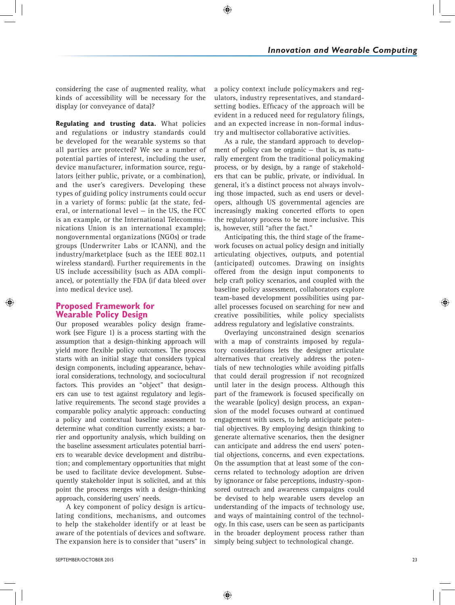considering the case of augmented reality, what kinds of accessibility will be necessary for the display (or conveyance of data)?

**Regulating and trusting data.** What policies and regulations or industry standards could be developed for the wearable systems so that all parties are protected? We see a number of potential parties of interest, including the user, device manufacturer, information source, regulators (either public, private, or a combination), and the user's caregivers. Developing these types of guiding policy instruments could occur in a variety of forms: public (at the state, federal, or international level — in the US, the FCC is an example, or the International Telecommunications Union is an international example); nongovernmental organizations (NGOs) or trade groups (Underwriter Labs or ICANN), and the industry/marketplace (such as the IEEE 802.11 wireless standard). Further requirements in the US include accessibility (such as ADA compliance), or potentially the FDA (if data bleed over into medical device use).

## **Proposed Framework for Wearable Policy Design**

Our proposed wearables policy design framework (see Figure 1) is a process starting with the assumption that a design-thinking approach will yield more flexible policy outcomes. The process starts with an initial stage that considers typical design components, including appearance, behavioral considerations, technology, and sociocultural factors. This provides an "object" that designers can use to test against regulatory and legislative requirements. The second stage provides a comparable policy analytic approach: conducting a policy and contextual baseline assessment to determine what condition currently exists; a barrier and opportunity analysis, which building on the baseline assessment articulates potential barriers to wearable device development and distribution; and complementary opportunities that might be used to facilitate device development. Subsequently stakeholder input is solicited, and at this point the process merges with a design-thinking approach, considering users' needs.

A key component of policy design is articulating conditions, mechanisms, and outcomes to help the stakeholder identify or at least be aware of the potentials of devices and software. The expansion here is to consider that "users" in

a policy context include policymakers and regulators, industry representatives, and standardsetting bodies. Efficacy of the approach will be evident in a reduced need for regulatory filings, and an expected increase in non-formal industry and multisector collaborative activities.

As a rule, the standard approach to development of policy can be organic — that is, as naturally emergent from the traditional policymaking process, or by design, by a range of stakeholders that can be public, private, or individual. In general, it's a distinct process not always involving those impacted, such as end users or developers, although US governmental agencies are increasingly making concerted efforts to open the regulatory process to be more inclusive. This is, however, still "after the fact."

Anticipating this, the third stage of the framework focuses on actual policy design and initially articulating objectives, outputs, and potential (anticipated) outcomes. Drawing on insights offered from the design input components to help craft policy scenarios, and coupled with the baseline policy assessment, collaborators explore team-based development possibilities using parallel processes focused on searching for new and creative possibilities, while policy specialists address regulatory and legislative constraints.

Overlaying unconstrained design scenarios with a map of constraints imposed by regulatory considerations lets the designer articulate alternatives that creatively address the potentials of new technologies while avoiding pitfalls that could derail progression if not recognized until later in the design process. Although this part of the framework is focused specifically on the wearable (policy) design process, an expansion of the model focuses outward at continued engagement with users, to help anticipate potential objectives. By employing design thinking to generate alternative scenarios, then the designer can anticipate and address the end users' potential objections, concerns, and even expectations. On the assumption that at least some of the concerns related to technology adoption are driven by ignorance or false perceptions, industry-sponsored outreach and awareness campaigns could be devised to help wearable users develop an understanding of the impacts of technology use, and ways of maintaining control of the technology. In this case, users can be seen as participants in the broader deployment process rather than simply being subject to technological change.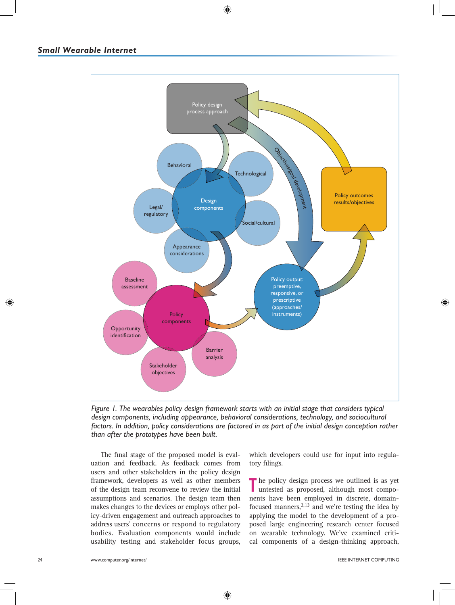

*Figure 1. The wearables policy design framework starts with an initial stage that considers typical*  design components, including appearance, behavioral considerations, technology, and sociocultural *factors. In addition, policy considerations are factored in as part of the initial design conception rather than after the prototypes have been built.*

The final stage of the proposed model is evaluation and feedback. As feedback comes from users and other stakeholders in the policy design framework, developers as well as other members of the design team reconvene to review the initial assumptions and scenarios. The design team then makes changes to the devices or employs other policy-driven engagement and outreach approaches to address users' concerns or respond to regulatory bodies. Evaluation components would include usability testing and stakeholder focus groups, which developers could use for input into regulatory filings.

The policy design process we outlined is as yet untested as proposed, although most components have been employed in discrete, domainfocused manners, $2,13$  and we're testing the idea by applying the model to the development of a proposed large engineering research center focused on wearable technology. We've examined critical components of a design-thinking approach,